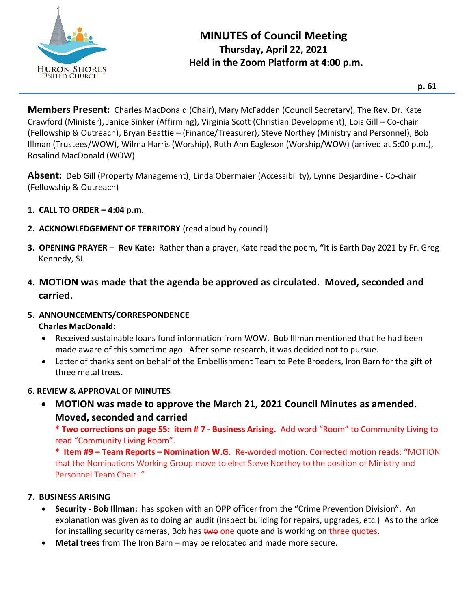

**Members Present:** Charles MacDonald (Chair), Mary McFadden (Council Secretary), The Rev. Dr. Kate Crawford (Minister), Janice Sinker (Affirming), Virginia Scott (Christian Development), Lois Gill – Co-chair (Fellowship & Outreach), Bryan Beattie – (Finance/Treasurer), Steve Northey (Ministry and Personnel), Bob Illman (Trustees/WOW), Wilma Harris (Worship), Ruth Ann Eagleson (Worship/WOW) (arrived at 5:00 p.m.), Rosalind MacDonald (WOW)

**Absent:** Deb Gill (Property Management), Linda Obermaier (Accessibility), Lynne Desjardine - Co-chair (Fellowship & Outreach)

- **1. CALL TO ORDER – 4:04 p.m.**
- **2. ACKNOWLEDGEMENT OF TERRITORY** (read aloud by council)
- **3. OPENING PRAYER – Rev Kate:** Rather than a prayer, Kate read the poem, **"**It is Earth Day 2021 by Fr. Greg Kennedy, SJ.
- **4. MOTION was made that the agenda be approved as circulated. Moved, seconded and carried.**
- **5. ANNOUNCEMENTS/CORRESPONDENCE Charles MacDonald:**
	- Received sustainable loans fund information from WOW. Bob Illman mentioned that he had been made aware of this sometime ago. After some research, it was decided not to pursue.
		- Letter of thanks sent on behalf of the Embellishment Team to Pete Broeders, Iron Barn for the gift of three metal trees.

# **6. REVIEW & APPROVAL OF MINUTES**

• **MOTION was made to approve the March 21, 2021 Council Minutes as amended. Moved, seconded and carried** 

**\* Two corrections on page 55: item # 7 - Business Arising.** Add word "Room" to Community Living to read "Community Living Room".

**\* Item #9 – Team Reports – Nomination W.G.** Re-worded motion. Corrected motion reads: "MOTION that the Nominations Working Group move to elect Steve Northey to the position of Ministry and Personnel Team Chair. "

## **7. BUSINESS ARISING**

- **Security - Bob Illman:** has spoken with an OPP officer from the "Crime Prevention Division". An explanation was given as to doing an audit (inspect building for repairs, upgrades, etc.) As to the price for installing security cameras, Bob has two one quote and is working on three quotes.
- **Metal trees** from The Iron Barn may be relocated and made more secure.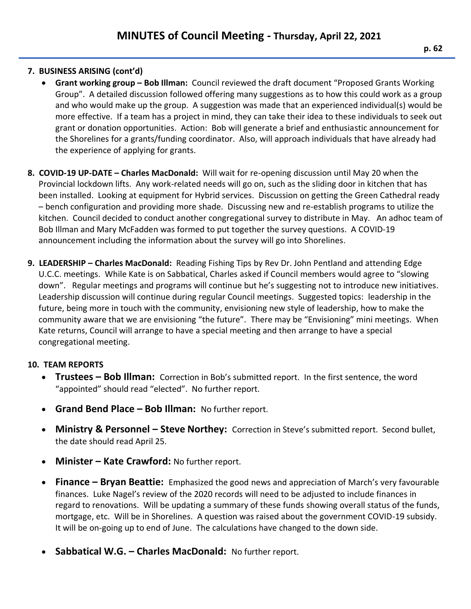## **7. BUSINESS ARISING (cont'd)**

- **Grant working group – Bob Illman:** Council reviewed the draft document "Proposed Grants Working Group". A detailed discussion followed offering many suggestions as to how this could work as a group and who would make up the group. A suggestion was made that an experienced individual(s) would be more effective. If a team has a project in mind, they can take their idea to these individuals to seek out grant or donation opportunities. Action: Bob will generate a brief and enthusiastic announcement for the Shorelines for a grants/funding coordinator. Also, will approach individuals that have already had the experience of applying for grants.
- **8. COVID-19 UP-DATE – Charles MacDonald:** Will wait for re-opening discussion until May 20 when the Provincial lockdown lifts. Any work-related needs will go on, such as the sliding door in kitchen that has been installed. Looking at equipment for Hybrid services. Discussion on getting the Green Cathedral ready – bench configuration and providing more shade. Discussing new and re-establish programs to utilize the kitchen. Council decided to conduct another congregational survey to distribute in May. An adhoc team of Bob Illman and Mary McFadden was formed to put together the survey questions. A COVID-19 announcement including the information about the survey will go into Shorelines.
- **9. LEADERSHIP – Charles MacDonald:** Reading Fishing Tips by Rev Dr. John Pentland and attending Edge U.C.C. meetings. While Kate is on Sabbatical, Charles asked if Council members would agree to "slowing down". Regular meetings and programs will continue but he's suggesting not to introduce new initiatives. Leadership discussion will continue during regular Council meetings. Suggested topics: leadership in the future, being more in touch with the community, envisioning new style of leadership, how to make the community aware that we are envisioning "the future". There may be "Envisioning" mini meetings. When Kate returns, Council will arrange to have a special meeting and then arrange to have a special congregational meeting.

## **10. TEAM REPORTS**

- **Trustees – Bob Illman:** Correction in Bob's submitted report. In the first sentence, the word "appointed" should read "elected". No further report.
- **Grand Bend Place – Bob Illman:** No further report.
- **Ministry & Personnel – Steve Northey:** Correction in Steve's submitted report. Second bullet, the date should read April 25.
- **Minister – Kate Crawford:** No further report.
- **Finance – Bryan Beattie:** Emphasized the good news and appreciation of March's very favourable finances. Luke Nagel's review of the 2020 records will need to be adjusted to include finances in regard to renovations. Will be updating a summary of these funds showing overall status of the funds, mortgage, etc. Will be in Shorelines. A question was raised about the government COVID-19 subsidy. It will be on-going up to end of June. The calculations have changed to the down side.
- **Sabbatical W.G. – Charles MacDonald:** No further report.